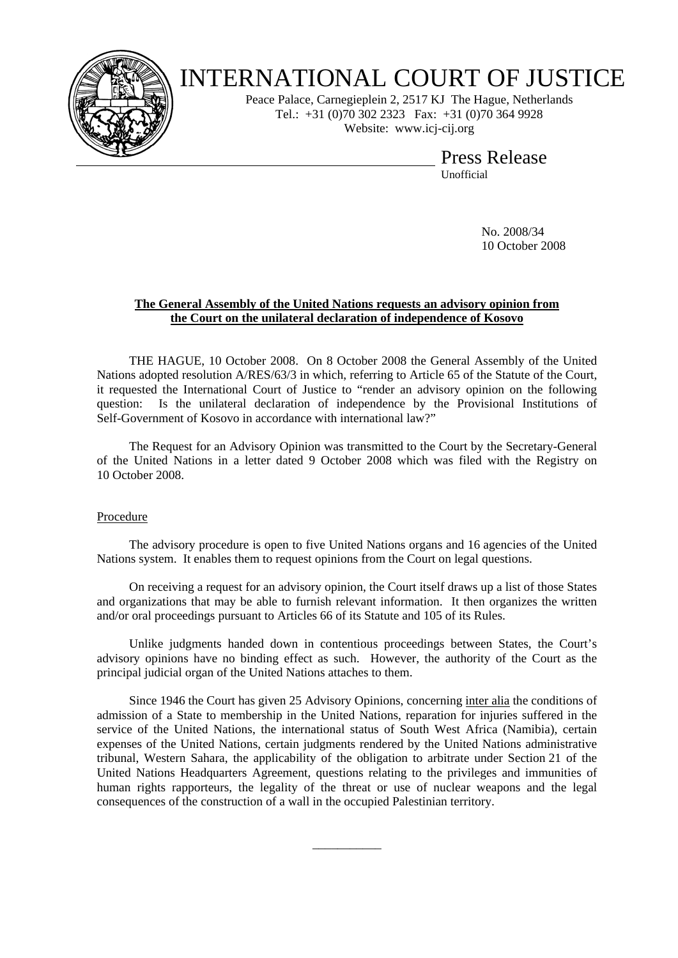

## INTERNATIONAL COURT OF JUSTICE

Peace Palace, Carnegieplein 2, 2517 KJ The Hague, Netherlands Tel.: +31 (0)70 302 2323 Fax: +31 (0)70 364 9928 Website: www.icj-cij.org

Press Release

Unofficial

 No. 2008/34 10 October 2008

## **The General Assembly of the United Nations requests an advisory opinion from the Court on the unilateral declaration of independence of Kosovo**

 THE HAGUE, 10 October 2008. On 8 October 2008 the General Assembly of the United Nations adopted resolution A/RES/63/3 in which, referring to Article 65 of the Statute of the Court, it requested the International Court of Justice to "render an advisory opinion on the following question: Is the unilateral declaration of independence by the Provisional Institutions of Self-Government of Kosovo in accordance with international law?"

 The Request for an Advisory Opinion was transmitted to the Court by the Secretary-General of the United Nations in a letter dated 9 October 2008 which was filed with the Registry on 10 October 2008.

## Procedure

 The advisory procedure is open to five United Nations organs and 16 agencies of the United Nations system. It enables them to request opinions from the Court on legal questions.

 On receiving a request for an advisory opinion, the Court itself draws up a list of those States and organizations that may be able to furnish relevant information. It then organizes the written and/or oral proceedings pursuant to Articles 66 of its Statute and 105 of its Rules.

 Unlike judgments handed down in contentious proceedings between States, the Court's advisory opinions have no binding effect as such. However, the authority of the Court as the principal judicial organ of the United Nations attaches to them.

 Since 1946 the Court has given 25 Advisory Opinions, concerning inter alia the conditions of admission of a State to membership in the United Nations, reparation for injuries suffered in the service of the United Nations, the international status of South West Africa (Namibia), certain expenses of the United Nations, certain judgments rendered by the United Nations administrative tribunal, Western Sahara, the applicability of the obligation to arbitrate under Section 21 of the United Nations Headquarters Agreement, questions relating to the privileges and immunities of human rights rapporteurs, the legality of the threat or use of nuclear weapons and the legal consequences of the construction of a wall in the occupied Palestinian territory.

\_\_\_\_\_\_\_\_\_\_\_